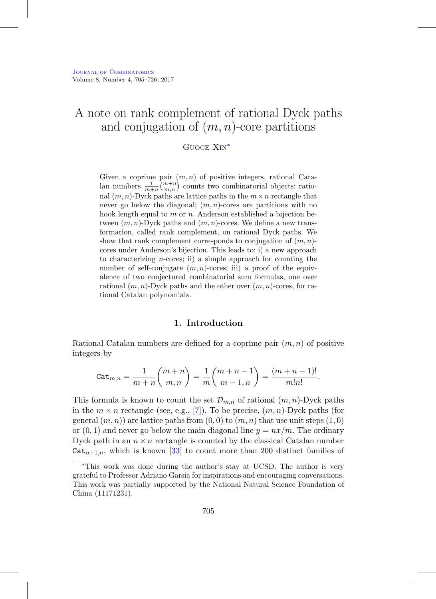# A note on rank complement of rational Dyck paths and conjugation of  $(m, n)$ -core partitions

Guoce Xin[∗](#page-0-0)

Given a coprime pair  $(m, n)$  of positive integers, rational Catalan numbers  $\frac{1}{m+n} {m+n \choose m,n}$  counts two combinatorial objects: rational  $(m, n)$ -Dyck paths are lattice paths in the  $m \times n$  rectangle that never go below the diagonal;  $(m, n)$ -cores are partitions with no hook length equal to  $m$  or  $n$ . Anderson established a bijection between  $(m, n)$ -Dyck paths and  $(m, n)$ -cores. We define a new transformation, called rank complement, on rational Dyck paths. We show that rank complement corresponds to conjugation of  $(m, n)$ cores under Anderson's bijection. This leads to: i) a new approach to characterizing *n*-cores; ii) a simple approach for counting the number of self-conjugate  $(m, n)$ -cores; iii) a proof of the equivalence of two conjectured combinatorial sum formulas, one over rational  $(m, n)$ -Dyck paths and the other over  $(m, n)$ -cores, for rational Catalan polynomials.

### **1. Introduction**

Rational Catalan numbers are defined for a coprime pair  $(m, n)$  of positive integers by

$$
\mathtt{Cat}_{m,n} = \frac{1}{m+n} \binom{m+n}{m,n} = \frac{1}{m} \binom{m+n-1}{m-1,n} = \frac{(m+n-1)!}{m!n!}.
$$

This formula is known to count the set  $\mathcal{D}_{m,n}$  of rational  $(m, n)$ -Dyck paths in the  $m \times n$  rectangle (see, e.g., [\[7\]](#page-18-0)). To be precise,  $(m, n)$ -Dyck paths (for general  $(m, n)$  are lattice paths from  $(0, 0)$  to  $(m, n)$  that use unit steps  $(1, 0)$ or  $(0, 1)$  and never go below the main diagonal line  $y = nx/m$ . The ordinary Dyck path in an  $n \times n$  rectangle is counted by the classical Catalan number  $Cat_{n+1,n}$ , which is known [\[33\]](#page-20-0) to count more than 200 distinct families of

<span id="page-0-0"></span><sup>∗</sup>This work was done during the author's stay at UCSD. The author is very grateful to Professor Adriano Garsia for inspirations and encouraging conversations. This work was partially supported by the National Natural Science Foundation of China (11171231).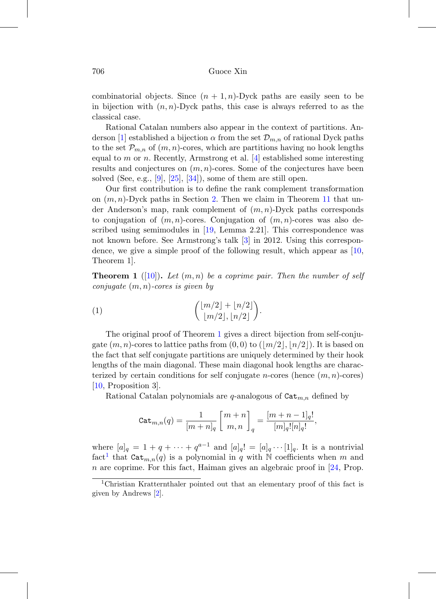combinatorial objects. Since  $(n + 1, n)$ -Dyck paths are easily seen to be in bijection with  $(n, n)$ -Dyck paths, this case is always referred to as the classical case.

Rational Catalan numbers also appear in the context of partitions. An-derson [\[1\]](#page-18-1) established a bijection  $\alpha$  from the set  $\mathcal{D}_{m,n}$  of rational Dyck paths to the set  $\mathcal{P}_{m,n}$  of  $(m,n)$ -cores, which are partitions having no hook lengths equal to m or n. Recently, Armstrong et al.  $[4]$  established some interesting results and conjectures on  $(m, n)$ -cores. Some of the conjectures have been solved (See, e.g.,  $[9]$ ,  $[25]$ ,  $[34]$ ), some of them are still open.

Our first contribution is to define the rank complement transformation on  $(m, n)$ -Dyck paths in Section [2.](#page-4-0) Then we claim in Theorem [11](#page-13-0) that under Anderson's map, rank complement of  $(m, n)$ -Dyck paths corresponds to conjugation of  $(m, n)$ -cores. Conjugation of  $(m, n)$ -cores was also described using semimodules in [\[19,](#page-19-1) Lemma 2.21]. This correspondence was not known before. See Armstrong's talk [\[3\]](#page-18-3) in 2012. Using this correspondence, we give a simple proof of the following result, which appear as [\[10,](#page-19-2) Theorem 1].

<span id="page-1-0"></span>**Theorem 1** ([\[10\]](#page-19-2)). Let  $(m, n)$  be a coprime pair. Then the number of self conjugate  $(m, n)$ -cores is given by

(1) 
$$
{\binom{\lfloor m/2 \rfloor + \lfloor n/2 \rfloor}{\lfloor m/2 \rfloor, \lfloor n/2 \rfloor}}.
$$

The original proof of Theorem [1](#page-1-0) gives a direct bijection from self-conjugate  $(m, n)$ -cores to lattice paths from  $(0, 0)$  to  $(\lfloor m/2 \rfloor, \lfloor n/2 \rfloor)$ . It is based on the fact that self conjugate partitions are uniquely determined by their hook lengths of the main diagonal. These main diagonal hook lengths are characterized by certain conditions for self conjugate *n*-cores (hence  $(m, n)$ -cores) [\[10,](#page-19-2) Proposition 3].

Rational Catalan polynomials are q-analogous of  $\mathtt{Cat}_{m,n}$  defined by

$$
\mathtt{Cat}_{m,n}(q) = \frac{1}{[m+n]_q}\left[\frac{m+n}{m,n}\right]_q = \frac{[m+n-1]_q!}{[m]_q![n]_q!},
$$

where  $[a]_q = 1 + q + \cdots + q^{a-1}$  and  $[a]_q! = [a]_q \cdots [1]_q$ . It is a nontrivial fact<sup>[1](#page-1-1)</sup> that  $\mathtt{Cat}_{m,n}(q)$  is a polynomial in q with N coefficients when m and  $n$  are coprime. For this fact, Haiman gives an algebraic proof in  $[24, Prop.$  $[24, Prop.$ 

<span id="page-1-1"></span><sup>1</sup>Christian Kratternthaler pointed out that an elementary proof of this fact is given by Andrews [\[2\]](#page-18-4).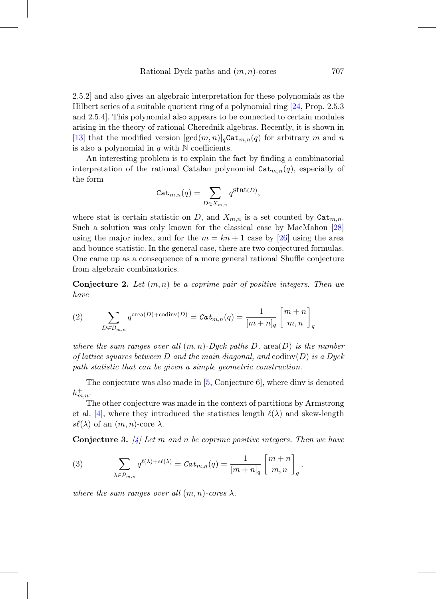2.5.2] and also gives an algebraic interpretation for these polynomials as the Hilbert series of a suitable quotient ring of a polynomial ring [\[24,](#page-20-2) Prop. 2.5.3 and 2.5.4]. This polynomial also appears to be connected to certain modules arising in the theory of rational Cherednik algebras. Recently, it is shown in [\[13\]](#page-19-3) that the modified version  $[\gcd(m, n)]_q$ Cat $_{m,n}(q)$  for arbitrary m and n is also a polynomial in  $q$  with  $\mathbb N$  coefficients.

An interesting problem is to explain the fact by finding a combinatorial interpretation of the rational Catalan polynomial  $\mathtt{Cat}_{m,n}(q)$ , especially of the form

$$
\mathtt{Cat}_{m,n}(q) = \sum_{D \in X_{m,n}} q^{\mathtt{Stat}(D)},
$$

where stat is certain statistic on D, and  $X_{m,n}$  is a set counted by  $\mathtt{Cat}_{m,n}$ . Such a solution was only known for the classical case by MacMahon [\[28\]](#page-20-3) using the major index, and for the  $m = kn + 1$  case by [\[26\]](#page-20-4) using the area and bounce statistic. In the general case, there are two conjectured formulas. One came up as a consequence of a more general rational Shuffle conjecture from algebraic combinatorics.

<span id="page-2-0"></span>**Conjecture 2.** Let  $(m, n)$  be a coprime pair of positive integers. Then we have

(2) 
$$
\sum_{D \in \mathcal{D}_{m,n}} q^{\text{area}(D) + \text{codinv}(D)} = \text{Cat}_{m,n}(q) = \frac{1}{[m+n]_q} \begin{bmatrix} m+n \\ m,n \end{bmatrix}_q
$$

where the sum ranges over all  $(m, n)$ -Dyck paths D, area(D) is the number of lattice squares between D and the main diagonal, and  $\text{codinv}(D)$  is a Dyck path statistic that can be given a simple geometric construction.

The conjecture was also made in [\[5,](#page-18-5) Conjecture 6], where dinv is denoted  $h_{m,n}^+$ .

The other conjecture was made in the context of partitions by Armstrong et al. [\[4\]](#page-18-2), where they introduced the statistics length  $\ell(\lambda)$  and skew-length  $s\ell(\lambda)$  of an  $(m, n)$ -core  $\lambda$ .

<span id="page-2-1"></span>**Conjecture 3.**  $[4]$  Let m and n be coprime positive integers. Then we have

(3) 
$$
\sum_{\lambda \in \mathcal{P}_{m,n}} q^{\ell(\lambda) + s\ell(\lambda)} = \mathcal{C}at_{m,n}(q) = \frac{1}{[m+n]_q} \begin{bmatrix} m+n \\ m,n \end{bmatrix}_q,
$$

where the sum ranges over all  $(m, n)$ -cores  $\lambda$ .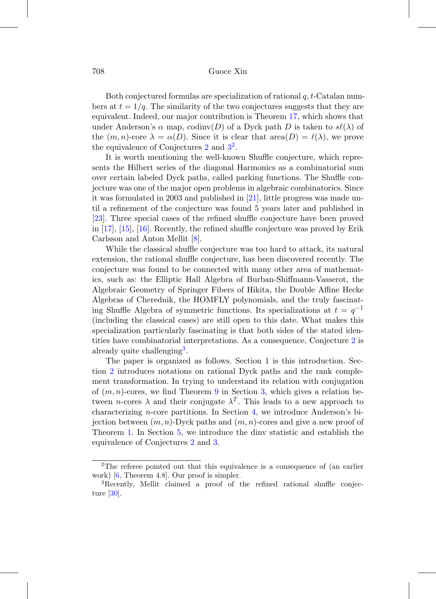Both conjectured formulas are specialization of rational  $q, t$ -Catalan numbers at  $t = 1/q$ . The similarity of the two conjectures suggests that they are equivalent. Indeed, our major contribution is Theorem [17,](#page-17-0) which shows that under Anderson's  $\alpha$  map, codinv(D) of a Dyck path D is taken to  $s\ell(\lambda)$  of the  $(m, n)$ -core  $\lambda = \alpha(D)$ . Since it is clear that  $area(D) = \ell(\lambda)$ , we prove the equivalence of Conjectures [2](#page-3-0) and  $3^2$  $3^2$ .

It is worth mentioning the well-known Shuffle conjecture, which represents the Hilbert series of the diagonal Harmonics as a combinatorial sum over certain labeled Dyck paths, called parking functions. The Shuffle conjecture was one of the major open problems in algebraic combinatorics. Since it was formulated in 2003 and published in [\[21\]](#page-20-5), little progress was made until a refinement of the conjecture was found 5 years later and published in [\[23\]](#page-20-6). Three special cases of the refined shuffle conjecture have been proved in [\[17\]](#page-19-4), [\[15\]](#page-19-5), [\[16\]](#page-19-6). Recently, the refined shuffle conjecture was proved by Erik Carlsson and Anton Mellit [\[8\]](#page-18-6).

While the classical shuffle conjecture was too hard to attack, its natural extension, the rational shuffle conjecture, has been discovered recently. The conjecture was found to be connected with many other area of mathematics, such as: the Elliptic Hall Algebra of Burban-Shiffmann-Vasserot, the Algebraic Geometry of Springer Fibers of Hikita, the Double Affine Hecke Algebras of Cherednik, the HOMFLY polynomials, and the truly fascinating Shuffle Algebra of symmetric functions. Its specializations at  $t = q^{-1}$ (including the classical cases) are still open to this date. What makes this specialization particularly fascinating is that both sides of the stated identities have combinatorial interpretations. As a consequence, Conjecture [2](#page-2-0) is already quite challenging<sup>[3](#page-3-1)</sup>.

The paper is organized as follows. Section 1 is this introduction. Section [2](#page-4-0) introduces notations on rational Dyck paths and the rank complement transformation. In trying to understand its relation with conjugation of  $(m, n)$ -cores, we find Theorem [9](#page-10-0) in Section [3,](#page-8-0) which gives a relation between *n*-cores  $\lambda$  and their conjugate  $\lambda^T$ . This leads to a new approach to characterizing n-core partitions. In Section [4,](#page-12-0) we introduce Anderson's bijection between  $(m, n)$ -Dyck paths and  $(m, n)$ -cores and give a new proof of Theorem [1.](#page-1-0) In Section [5,](#page-13-1) we introduce the dinv statistic and establish the equivalence of Conjectures [2](#page-2-0) and [3.](#page-2-1)

<span id="page-3-0"></span><sup>2</sup>The referee pointed out that this equivalence is a consequence of (an earlier work) [\[6,](#page-18-7) Theorem 4.8]. Our proof is simpler.

<span id="page-3-1"></span><sup>3</sup>Recently, Mellit claimed a proof of the refined rational shuffle conjecture [\[30\]](#page-20-7).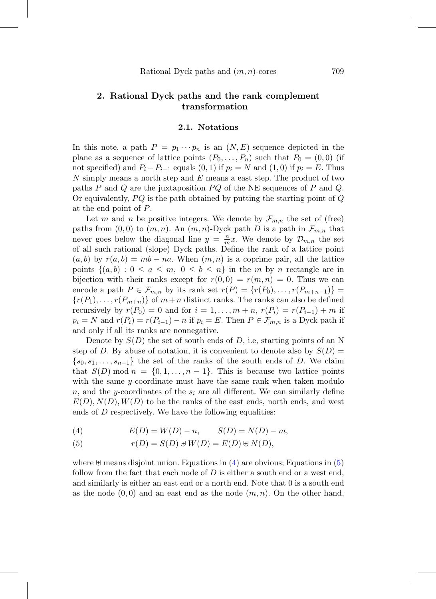# <span id="page-4-0"></span>**2. Rational Dyck paths and the rank complement transformation**

#### **2.1. Notations**

In this note, a path  $P = p_1 \cdots p_n$  is an  $(N, E)$ -sequence depicted in the plane as a sequence of lattice points  $(P_0, \ldots, P_n)$  such that  $P_0 = (0, 0)$  (if not specified) and  $P_i - P_{i-1}$  equals  $(0, 1)$  if  $p_i = N$  and  $(1, 0)$  if  $p_i = E$ . Thus  $N$  simply means a north step and  $E$  means a east step. The product of two paths P and Q are the juxtaposition  $PQ$  of the NE sequences of P and Q. Or equivalently,  $PQ$  is the path obtained by putting the starting point of  $Q$ at the end point of P.

Let m and n be positive integers. We denote by  $\mathcal{F}_{m,n}$  the set of (free) paths from  $(0,0)$  to  $(m, n)$ . An  $(m, n)$ -Dyck path D is a path in  $\mathcal{F}_{m,n}$  that never goes below the diagonal line  $y = \frac{n}{m}x$ . We denote by  $\mathcal{D}_{m,n}$  the set of all such rational (slope) Dyck paths. Define the rank of a lattice point  $(a, b)$  by  $r(a, b) = mb - na$ . When  $(m, n)$  is a coprime pair, all the lattice points  $\{(a, b): 0 \le a \le m, 0 \le b \le n\}$  in the m by n rectangle are in bijection with their ranks except for  $r(0, 0) = r(m, n) = 0$ . Thus we can encode a path  $P \in \mathcal{F}_{m,n}$  by its rank set  $r(P) = \{r(P_0), \ldots, r(P_{m+n-1})\}$  ${r(P_1),...,r(P_{m+n})}$  of  $m+n$  distinct ranks. The ranks can also be defined recursively by  $r(P_0) = 0$  and for  $i = 1, \ldots, m + n$ ,  $r(P_i) = r(P_{i-1}) + m$  if  $p_i = N$  and  $r(P_i) = r(P_{i-1}) - n$  if  $p_i = E$ . Then  $P \in \mathcal{F}_{m,n}$  is a Dyck path if and only if all its ranks are nonnegative.

Denote by  $S(D)$  the set of south ends of D, i.e, starting points of an N step of D. By abuse of notation, it is convenient to denote also by  $S(D)$  =  ${s_0, s_1,...,s_{n-1}}$  the set of the ranks of the south ends of D. We claim that  $S(D) \mod n = \{0, 1, \ldots, n-1\}$ . This is because two lattice points with the same  $y$ -coordinate must have the same rank when taken modulo n, and the y-coordinates of the  $s_i$  are all different. We can similarly define  $E(D), N(D), W(D)$  to be the ranks of the east ends, north ends, and west ends of D respectively. We have the following equalities:

<span id="page-4-1"></span>(4) 
$$
E(D) = W(D) - n
$$
,  $S(D) = N(D) - m$ ,

<span id="page-4-2"></span>(5) 
$$
r(D) = S(D) \oplus W(D) = E(D) \oplus N(D),
$$

where  $\forall$  means disjoint union. Equations in [\(4\)](#page-4-1) are obvious; Equations in [\(5\)](#page-4-2) follow from the fact that each node of  $D$  is either a south end or a west end, and similarly is either an east end or a north end. Note that 0 is a south end as the node  $(0,0)$  and an east end as the node  $(m, n)$ . On the other hand,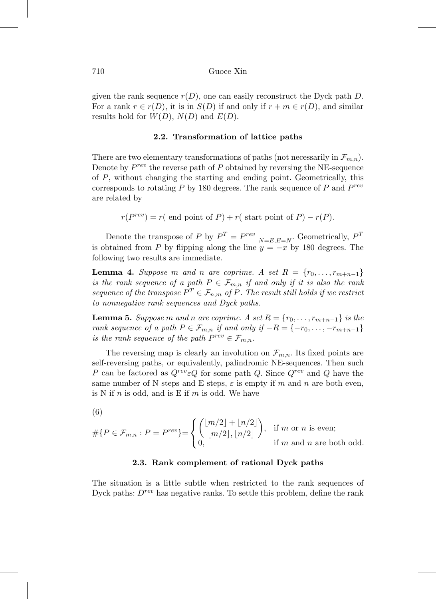given the rank sequence  $r(D)$ , one can easily reconstruct the Dyck path D. For a rank  $r \in r(D)$ , it is in  $S(D)$  if and only if  $r + m \in r(D)$ , and similar results hold for  $W(D)$ ,  $N(D)$  and  $E(D)$ .

### **2.2. Transformation of lattice paths**

There are two elementary transformations of paths (not necessarily in  $\mathcal{F}_{m,n}$ ). Denote by  $P^{rev}$  the reverse path of P obtained by reversing the NE-sequence of P, without changing the starting and ending point. Geometrically, this corresponds to rotating  $P$  by 180 degrees. The rank sequence of  $P$  and  $P^{rev}$ are related by

$$
r(P^{rev}) = r(\text{ end point of } P) + r(\text{ start point of } P) - r(P).
$$

Denote the transpose of P by  $P^T = P^{rev} \big|_{N=E,E=N}$ . Geometrically,  $P^T$ is obtained from P by flipping along the line  $y = -x$  by 180 degrees. The following two results are immediate.

**Lemma 4.** Suppose m and n are coprime. A set  $R = \{r_0, \ldots, r_{m+n-1}\}\$ is the rank sequence of a path  $P \in \mathcal{F}_{m,n}$  if and only if it is also the rank sequence of the transpose  $P^T \in \mathcal{F}_{n,m}$  of P. The result still holds if we restrict to nonnegative rank sequences and Dyck paths.

**Lemma 5.** Suppose m and n are coprime. A set  $R = \{r_0, \ldots, r_{m+n-1}\}$  is the rank sequence of a path  $P \in \mathcal{F}_{m,n}$  if and only if  $-R = \{-r_0, \ldots, -r_{m+n-1}\}$ is the rank sequence of the path  $P^{rev} \in \mathcal{F}_{m,n}$ .

The reversing map is clearly an involution on  $\mathcal{F}_{m,n}$ . Its fixed points are self-reversing paths, or equivalently, palindromic NE-sequences. Then such P can be factored as  $Q^{rev} \in Q$  for some path Q. Since  $Q^{rev}$  and Q have the same number of N steps and E steps,  $\varepsilon$  is empty if m and n are both even, is N if n is odd, and is E if  $m$  is odd. We have

<span id="page-5-0"></span>(6)

$$
#\{P \in \mathcal{F}_{m,n} : P = P^{rev}\} = \begin{cases} \binom{\lfloor m/2 \rfloor + \lfloor n/2 \rfloor}{\lfloor m/2 \rfloor, \lfloor n/2 \rfloor}, & \text{if } m \text{ or } n \text{ is even;}\\ 0, & \text{if } m \text{ and } n \text{ are both odd.} \end{cases}
$$

### **2.3. Rank complement of rational Dyck paths**

The situation is a little subtle when restricted to the rank sequences of Dyck paths:  $D^{rev}$  has negative ranks. To settle this problem, define the rank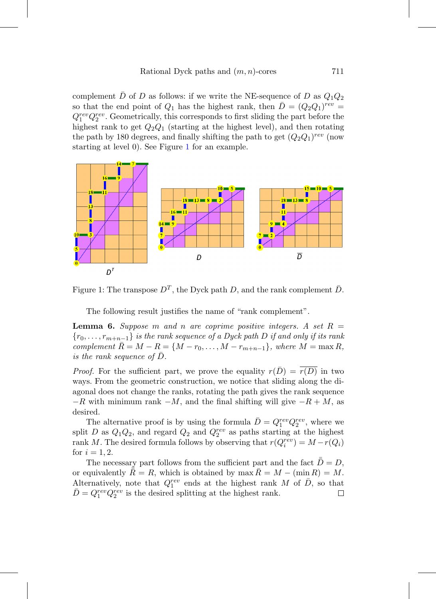complement D of D as follows: if we write the NE-sequence of D as  $Q_1Q_2$ so that the end point of  $Q_1$  has the highest rank, then  $\overline{D} = (Q_2 Q_1)^{rev} =$  $Q_1^{rev}Q_2^{rev}$ . Geometrically, this corresponds to first sliding the part before the highest rank to get  $Q_2Q_1$  (starting at the highest level), and then rotating the path by 180 degrees, and finally shifting the path to get  $(Q_2Q_1)^{rev}$  (now starting at level 0). See Figure [1](#page-6-0) for an example.



Figure 1: The transpose  $D^T$ , the Dyck path D, and the rank complement  $\bar{D}$ .

<span id="page-6-0"></span>The following result justifies the name of "rank complement".

**Lemma 6.** Suppose m and n are coprime positive integers. A set  $R =$  ${r_0,\ldots,r_{m+n-1}}$  is the rank sequence of a Dyck path D if and only if its rank complement  $\overline{R} = M - R = \{M - r_0, \ldots, M - r_{m+n-1}\},$  where  $M = \max R$ , is the rank sequence of  $\bar{D}$ .

*Proof.* For the sufficient part, we prove the equality  $r(D) = r(D)$  in two ways. From the geometric construction, we notice that sliding along the diagonal does not change the ranks, rotating the path gives the rank sequence  $-R$  with minimum rank  $-M$ , and the final shifting will give  $-R + M$ , as desired.

The alternative proof is by using the formula  $\bar{D} = Q_1^{rev} Q_2^{rev}$ , where we split D as  $Q_1Q_2$ , and regard  $Q_2$  and  $Q_2^{rev}$  as paths starting at the highest rank M. The desired formula follows by observing that  $r(Q_i^{rev}) = M - r(Q_i)$ for  $i = 1, 2$ .

The necessary part follows from the sufficient part and the fact  $\bar{D}=D$ , or equivalently  $\tilde{\bar{R}} = R$ , which is obtained by  $\max R = M - (\min R) = M$ . Alternatively, note that  $Q_1^{rev}$  ends at the highest rank M of  $\bar{D}$ , so that  $\bar{D} = Q_1^{rev} Q_2^{rev}$  is the desired splitting at the highest rank.  $\Box$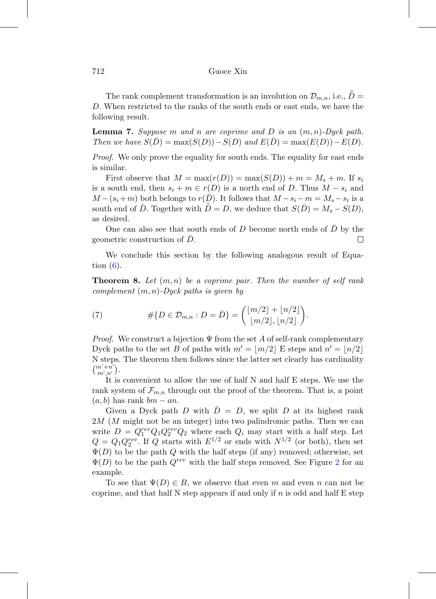The rank complement transformation is an involution on  $\mathcal{D}_{m,n}$ , i.e.,  $\bar{\bar{D}} =$ D. When restricted to the ranks of the south ends or east ends, we have the following result.

<span id="page-7-0"></span>**Lemma 7.** Suppose m and n are coprime and D is an  $(m, n)$ -Dyck path. Then we have  $S(D) = \max(S(D)) - S(D)$  and  $E(D) = \max(E(D)) - E(D)$ .

*Proof.* We only prove the equality for south ends. The equality for east ends is similar.

First observe that  $M = \max(r(D)) = \max(S(D)) + m = M_s + m$ . If  $s_i$ is a south end, then  $s_i + m \in r(D)$  is a north end of D. Thus  $M - s_i$  and  $M - (s_i + m)$  both belongs to  $r(D)$ . It follows that  $M - s_i - m = M_s - s_i$  is a south end of D. Together with  $D = D$ , we deduce that  $S(D) = M_s - S(D)$ , as desired.

One can also see that south ends of D become north ends of  $\bar{D}$  by the geometric construction of  $D$ .  $\Box$ 

We conclude this section by the following analogous result of Equation  $(6)$ .

<span id="page-7-1"></span>**Theorem 8.** Let  $(m, n)$  be a coprime pair. Then the number of self rank complement  $(m, n)$ -Dyck paths is given by

(7) 
$$
\#\{D \in \mathcal{D}_{m,n} : D = \overline{D}\} = \begin{pmatrix} \lfloor m/2 \rfloor + \lfloor n/2 \rfloor \\ \lfloor m/2 \rfloor, \lfloor n/2 \rfloor \end{pmatrix}.
$$

*Proof.* We construct a bijection  $\Psi$  from the set A of self-rank complementary Dyck paths to the set B of paths with  $m' = \lfloor m/2 \rfloor$  E steps and  $n' = \lfloor n/2 \rfloor$ N steps. The theorem then follows since the latter set clearly has cardinality  $\binom{m'+n'}{m',n'}$ .

It is convenient to allow the use of half N and half E steps. We use the rank system of  $\mathcal{F}_{m,n}$  through out the proof of the theorem. That is, a point  $(a, b)$  has rank  $bm - an$ .

Given a Dyck path D with  $\overline{D} = D$ , we split D at its highest rank 2M (M might not be an integer) into two palindromic paths. Then we can write  $D = Q_1^{rev} Q_1 Q_2^{rev} Q_2$  where each  $Q_i$  may start with a half step. Let  $Q = Q_1 Q_2^{rev}$ . If Q starts with  $E^{1/2}$  or ends with  $N^{1/2}$  (or both), then set  $\Psi(D)$  to be the path Q with the half steps (if any) removed; otherwise, set  $\Psi(D)$  to be the path  $Q^{rev}$  with the half steps removed. See Figure [2](#page-8-1) for an example.

To see that  $\Psi(D) \in B$ , we observe that even m and even n can not be coprime, and that half  $N$  step appears if and only if n is odd and half  $E$  step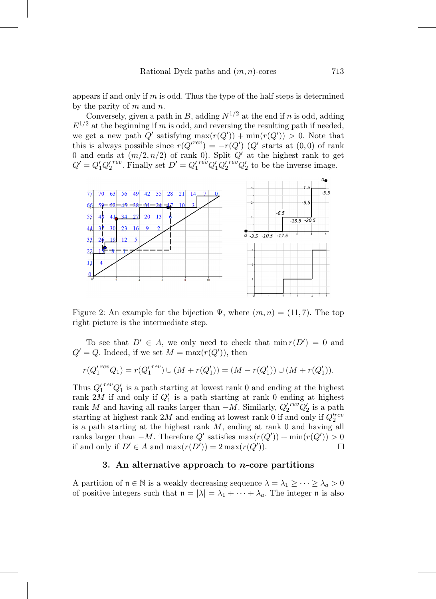appears if and only if  $m$  is odd. Thus the type of the half steps is determined by the parity of  $m$  and  $n$ .

Conversely, given a path in B, adding  $N^{1/2}$  at the end if n is odd, adding  $E^{1/2}$  at the beginning if m is odd, and reversing the resulting path if needed, we get a new path  $Q'$  satisfying  $\max(r(Q')) + \min(r(Q')) > 0$ . Note that this is always possible since  $r(Q^{rrev}) = -r(Q')$  (Q' starts at (0,0) of rank 0 and ends at  $(m/2, n/2)$  of rank 0). Split Q' at the highest rank to get  $Q' = Q'_1 Q'_2^{rev}$ . Finally set  $D' = Q'_1^{rev} Q'_1 Q'_2^{rev} Q'_2$  to be the inverse image.



<span id="page-8-1"></span>Figure 2: An example for the bijection  $\Psi$ , where  $(m, n) = (11, 7)$ . The top right picture is the intermediate step.

To see that  $D' \in A$ , we only need to check that  $\min r(D') = 0$  and  $Q' = Q$ . Indeed, if we set  $M = \max(r(Q'))$ , then

$$
r(Q_1'^{rev}Q_1) = r(Q_1'^{rev}) \cup (M + r(Q_1')) = (M - r(Q_1')) \cup (M + r(Q_1')).
$$

Thus  $Q_1^{\prime\,rev}Q_1^{\prime}$  is a path starting at lowest rank 0 and ending at the highest rank  $2M$  if and only if  $Q'_1$  is a path starting at rank 0 ending at highest rank M and having all ranks larger than  $-M$ . Similarly,  $Q_2^{\prime\,rev}Q_2^{\prime}$  is a path starting at highest rank 2*M* and ending at lowest rank 0 if and only if  $Q_2^{\prime rev}$ is a path starting at the highest rank  $M$ , ending at rank  $0$  and having all ranks larger than  $-M$ . Therefore  $Q'$  satisfies  $\max(r(Q')) + \min(r(Q')) > 0$ if and only if  $D' \in A$  and  $\max(r(D')) = 2 \max(r(Q'))$ .  $\Box$ 

# **3. An alternative approach to** *n***-core partitions**

<span id="page-8-0"></span>A partition of  $\mathfrak{n} \in \mathbb{N}$  is a weakly decreasing sequence  $\lambda = \lambda_1 \geq \cdots \geq \lambda_a > 0$ of positive integers such that  $\mathfrak{n} = |\lambda| = \lambda_1 + \cdots + \lambda_a$ . The integer  $\mathfrak{n}$  is also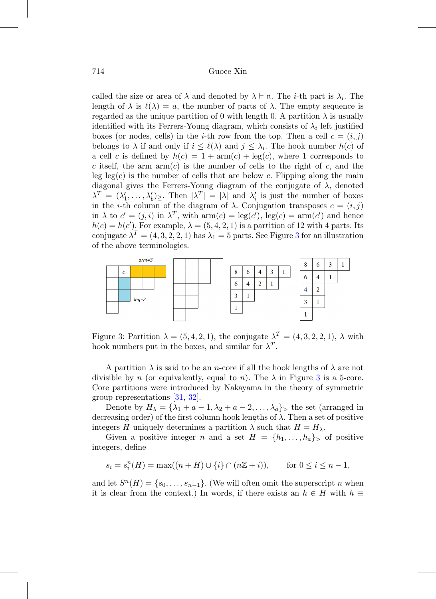called the size or area of  $\lambda$  and denoted by  $\lambda \vdash n$ . The *i*-th part is  $\lambda_i$ . The length of  $\lambda$  is  $\ell(\lambda) = a$ , the number of parts of  $\lambda$ . The empty sequence is regarded as the unique partition of 0 with length 0. A partition  $\lambda$  is usually identified with its Ferrers-Young diagram, which consists of  $\lambda_i$  left justified boxes (or nodes, cells) in the *i*-th row from the top. Then a cell  $c = (i, j)$ belongs to  $\lambda$  if and only if  $i \leq \ell(\lambda)$  and  $j \leq \lambda_i$ . The hook number  $h(c)$  of a cell c is defined by  $h(c) = 1 + \text{arm}(c) + \text{leg}(c)$ , where 1 corresponds to c itself, the arm  $arm(c)$  is the number of cells to the right of c, and the leg leg(c) is the number of cells that are below c. Flipping along the main diagonal gives the Ferrers-Young diagram of the conjugate of  $\lambda$ , denoted  $\lambda^T = (\lambda'_1, \ldots, \lambda'_b)_{\geq}$ . Then  $|\lambda^T| = |\lambda|$  and  $\lambda'_i$  is just the number of boxes in the *i*-th column of the diagram of  $\lambda$ . Conjugation transposes  $c = (i, j)$ in  $\lambda$  to  $c' = (j, i)$  in  $\lambda^T$ , with  $arm(c) = leg(c')$ ,  $leg(c) = arm(c')$  and hence  $h(c) = h(c')$ . For example,  $\lambda = (5, 4, 2, 1)$  is a partition of 12 with 4 parts. Its conjugate  $\lambda^T = (4, 3, 2, 2, 1)$  $\lambda^T = (4, 3, 2, 2, 1)$  $\lambda^T = (4, 3, 2, 2, 1)$  has  $\lambda_1 = 5$  parts. See Figure 3 for an illustration of the above terminologies.



<span id="page-9-0"></span>Figure 3: Partition  $\lambda = (5, 4, 2, 1)$ , the conjugate  $\lambda^T = (4, 3, 2, 2, 1)$ ,  $\lambda$  with hook numbers put in the boxes, and similar for  $\lambda^T$ .

A partition  $\lambda$  is said to be an *n*-core if all the hook lengths of  $\lambda$  are not divisible by n (or equivalently, equal to n). The  $\lambda$  in Figure [3](#page-9-0) is a 5-core. Core partitions were introduced by Nakayama in the theory of symmetric group representations [\[31,](#page-20-8) [32\]](#page-20-9).

Denote by  $H_{\lambda} = {\lambda_1 + a - 1, \lambda_2 + a - 2, ..., \lambda_a}$  the set (arranged in decreasing order) of the first column hook lengths of  $\lambda$ . Then a set of positive integers H uniquely determines a partition  $\lambda$  such that  $H = H_{\lambda}$ .

Given a positive integer n and a set  $H = \{h_1, \ldots, h_a\}$  of positive integers, define

$$
s_i = s_i^n(H) = \max((n+H) \cup \{i\} \cap (n\mathbb{Z} + i)),
$$
 for  $0 \le i \le n-1$ ,

and let  $S^n(H) = \{s_0, \ldots, s_{n-1}\}.$  (We will often omit the superscript n when it is clear from the context.) In words, if there exists an  $h \in H$  with  $h \equiv$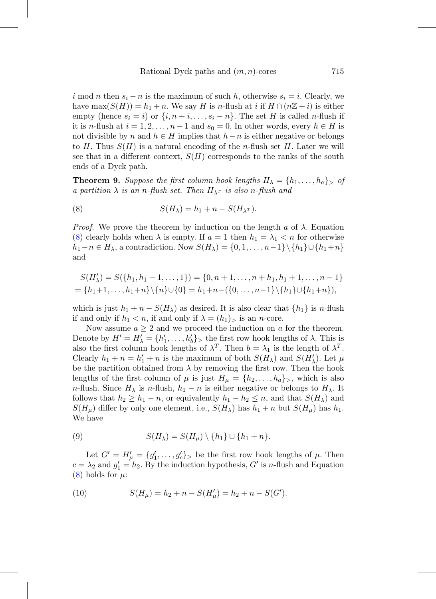i mod n then  $s_i - n$  is the maximum of such h, otherwise  $s_i = i$ . Clearly, we have max $(S(H)) = h_1 + n$ . We say H is n-flush at i if  $H \cap (n\mathbb{Z} + i)$  is either empty (hence  $s_i = i$ ) or  $\{i, n + i, \ldots, s_i - n\}$ . The set H is called n-flush if it is n-flush at  $i = 1, 2, ..., n-1$  and  $s_0 = 0$ . In other words, every  $h \in H$  is not divisible by n and  $h \in H$  implies that  $h-n$  is either negative or belongs to H. Thus  $S(H)$  is a natural encoding of the *n*-flush set H. Later we will see that in a different context,  $S(H)$  corresponds to the ranks of the south ends of a Dyck path.

<span id="page-10-0"></span>**Theorem 9.** Suppose the first column hook lengths  $H_{\lambda} = \{h_1, \ldots, h_a\}$  of a partition  $\lambda$  is an n-flush set. Then  $H_{\lambda^T}$  is also n-flush and

<span id="page-10-1"></span>(8) 
$$
S(H_{\lambda}) = h_1 + n - S(H_{\lambda^T}).
$$

*Proof.* We prove the theorem by induction on the length a of  $\lambda$ . Equation [\(8\)](#page-10-1) clearly holds when  $\lambda$  is empty. If  $a = 1$  then  $h_1 = \lambda_1 < n$  for otherwise  $h_1-n \in H_\lambda$ , a contradiction. Now  $S(H_\lambda) = \{0, 1, \ldots, n-1\} \setminus \{h_1\} \cup \{h_1+n\}$ and

$$
S(H'_{\lambda}) = S(\lbrace h_1, h_1 - 1, \dots, 1 \rbrace) = \lbrace 0, n + 1, \dots, n + h_1, h_1 + 1, \dots, n - 1 \rbrace
$$
  
=  $\lbrace h_1 + 1, \dots, h_1 + n \rbrace \setminus \lbrace n \rbrace \cup \lbrace 0 \rbrace = h_1 + n - (\lbrace 0, \dots, n - 1 \rbrace \setminus \lbrace h_1 \rbrace \cup \lbrace h_1 + n \rbrace),$ 

which is just  $h_1 + n - S(H_\lambda)$  as desired. It is also clear that  $\{h_1\}$  is n-flush if and only if  $h_1 < n$ , if and only if  $\lambda = (h_1)$ , is an *n*-core.

Now assume  $a \geq 2$  and we proceed the induction on a for the theorem. Denote by  $H' = H'_{\lambda} = \{h'_1, \ldots, h'_b\}$ , the first row hook lengths of  $\lambda$ . This is also the first column hook lengths of  $\lambda^T$ . Then  $b = \lambda_1$  is the length of  $\lambda^T$ . Clearly  $h_1 + n = h'_1 + n$  is the maximum of both  $S(H_\lambda)$  and  $S(H'_\lambda)$ . Let  $\mu$ be the partition obtained from  $\lambda$  by removing the first row. Then the hook lengths of the first column of  $\mu$  is just  $H_{\mu} = \{h_2, \ldots, h_a\}$ , which is also n-flush. Since  $H_{\lambda}$  is n-flush,  $h_1 - n$  is either negative or belongs to  $H_{\lambda}$ . It follows that  $h_2 \geq h_1 - n$ , or equivalently  $h_1 - h_2 \leq n$ , and that  $S(H_\lambda)$  and  $S(H_\mu)$  differ by only one element, i.e.,  $S(H_\lambda)$  has  $h_1 + n$  but  $S(H_\mu)$  has  $h_1$ . We have

<span id="page-10-2"></span>(9) 
$$
S(H_{\lambda}) = S(H_{\mu}) \setminus \{h_1\} \cup \{h_1 + n\}.
$$

Let  $G' = H'_{\mu} = \{g'_1, \ldots, g'_c\}$  be the first row hook lengths of  $\mu$ . Then  $c = \lambda_2$  and  $g'_1 = h_2$ . By the induction hypothesis, G' is n-flush and Equation  $(8)$  holds for  $\mu$ :

<span id="page-10-3"></span>(10) 
$$
S(H_{\mu}) = h_2 + n - S(H'_{\mu}) = h_2 + n - S(G').
$$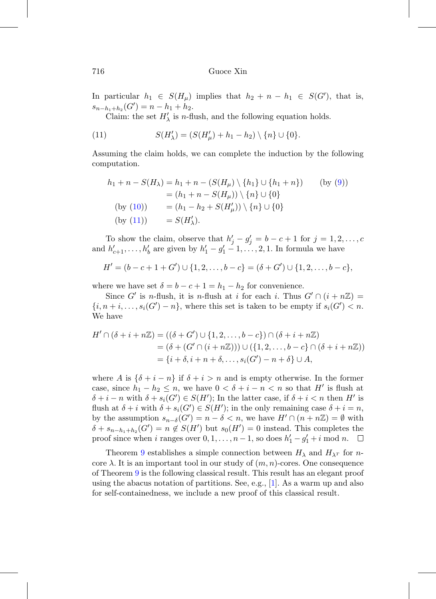In particular  $h_1 \in S(H_\mu)$  implies that  $h_2 + n - h_1 \in S(G')$ , that is,  $s_{n-h_1+h_2}(G') = n-h_1+h_2.$ 

Claim: the set  $H'_{\lambda}$  is *n*-flush, and the following equation holds.

<span id="page-11-0"></span>(11) 
$$
S(H'_{\lambda}) = (S(H'_{\mu}) + h_1 - h_2) \setminus \{n\} \cup \{0\}.
$$

Assuming the claim holds, we can complete the induction by the following computation.

$$
h_1 + n - S(H_\lambda) = h_1 + n - (S(H_\mu) \setminus \{h_1\} \cup \{h_1 + n\}) \qquad \text{(by (9))}
$$
  
=  $(h_1 + n - S(H_\mu)) \setminus \{n\} \cup \{0\}$   
(by (10)) =  $(h_1 - h_2 + S(H'_\mu)) \setminus \{n\} \cup \{0\}$   
(by (11)) =  $S(H'_\lambda)$ .

To show the claim, observe that  $h'_j - g'_j = b - c + 1$  for  $j = 1, 2, \ldots, c$ and  $h'_{c+1}, \ldots, h'_{b}$  are given by  $h'_{1} - g'_{1} - 1, \ldots, 2, 1$ . In formula we have

$$
H' = (b - c + 1 + G') \cup \{1, 2, \dots, b - c\} = (\delta + G') \cup \{1, 2, \dots, b - c\},
$$

where we have set  $\delta = b - c + 1 = h_1 - h_2$  for convenience.

Since G' is n-flush, it is n-flush at i for each i. Thus  $G' \cap (i + n\mathbb{Z}) =$  $\{i, n + i, \ldots, s_i(G') - n\}$ , where this set is taken to be empty if  $s_i(G') < n$ . We have

$$
H' \cap (\delta + i + n\mathbb{Z}) = ((\delta + G') \cup \{1, 2, \dots, b - c\}) \cap (\delta + i + n\mathbb{Z})
$$
  
= (\delta + (G' \cap (i + n\mathbb{Z}))) \cup (\{1, 2, \dots, b - c\} \cap (\delta + i + n\mathbb{Z}))  
= \{i + \delta, i + n + \delta, \dots, s\_i(G') - n + \delta\} \cup A,

where A is  $\{\delta + i - n\}$  if  $\delta + i > n$  and is empty otherwise. In the former case, since  $h_1 - h_2 \le n$ , we have  $0 < \delta + i - n < n$  so that H' is flush at  $\delta + i - n$  with  $\delta + s_i(G') \in S(H')$ ; In the latter case, if  $\delta + i < n$  then H' is flush at  $\delta + i$  with  $\delta + s_i(G') \in S(H')$ ; in the only remaining case  $\delta + i = n$ , by the assumption  $s_{n-\delta}(G') = n - \delta < n$ , we have  $H' \cap (n + n\mathbb{Z}) = \emptyset$  with  $\delta + s_{n-h_1+h_2}(G') = n \notin S(H')$  but  $s_0(H') = 0$  instead. This completes the proof since when *i* ranges over  $0, 1, \ldots, n-1$ , so does  $h'_1 - g'_1 + i \mod n$ .  $\Box$ 

Theorem [9](#page-10-0) establishes a simple connection between  $H_{\lambda}$  and  $H_{\lambda}$ <sup>T</sup> for ncore  $\lambda$ . It is an important tool in our study of  $(m, n)$ -cores. One consequence of Theorem [9](#page-10-0) is the following classical result. This result has an elegant proof using the abacus notation of partitions. See, e.g., [\[1\]](#page-18-1). As a warm up and also for self-containedness, we include a new proof of this classical result.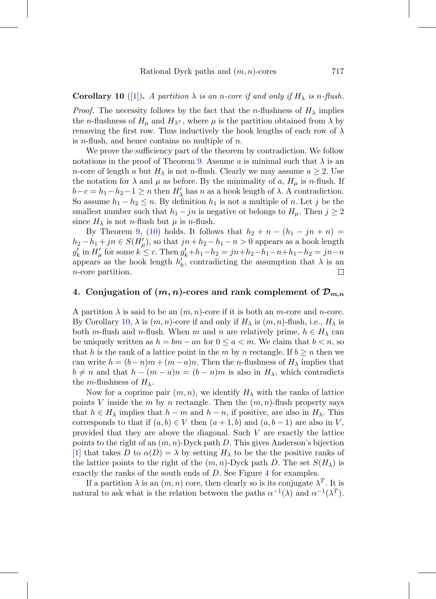# <span id="page-12-1"></span>**Corollary 10** ([\[1\]](#page-18-1)). A partition  $\lambda$  is an n-core if and only if  $H_{\lambda}$  is n-flush.

*Proof.* The necessity follows by the fact that the *n*-flushness of  $H_{\lambda}$  implies the *n*-flushness of  $H_{\mu}$  and  $H_{\lambda^T}$ , where  $\mu$  is the partition obtained from  $\lambda$  by removing the first row. Thus inductively the hook lengths of each row of  $\lambda$ is *n*-flush, and hence contains no multiple of *n*.

We prove the sufficiency part of the theorem by contradiction. We follow notations in the proof of Theorem [9.](#page-10-0) Assume a is minimal such that  $\lambda$  is an *n*-core of length a but  $H_{\lambda}$  is not *n*-flush. Clearly we may assume  $a \geq 2$ . Use the notation for  $\lambda$  and  $\mu$  as before. By the minimality of a,  $H_{\mu}$  is n-flush. If  $b-c = h_1-h_2-1 \geq n$  then  $H'_{\lambda}$  has n as a hook length of  $\lambda$ . A contradiction. So assume  $h_1 - h_2 \leq n$ . By definition  $h_1$  is not a multiple of n. Let j be the smallest number such that  $h_1 - jn$  is negative or belongs to  $H_\mu$ . Then  $j \geq 2$ since  $H_{\lambda}$  is not *n*-flush but  $\mu$  is *n*-flush.

By Theorem [9,](#page-10-0) [\(10\)](#page-10-3) holds. It follows that  $h_2 + n - (h_1 - jn + n) =$  $h_2 - h_1 + jn \in S(H'_{\mu}),$  so that  $jn + h_2 - h_1 - n > 0$  appears as a hook length  $g'_k$  in  $H'_\mu$  for some  $k \leq c$ . Then  $g'_k + h_1 - h_2 = jn + h_2 - h_1 - n + h_1 - h_2 = jn - n$ appears as the hook length  $h'_k$ , contradicting the assumption that  $\lambda$  is an n-core partition.

# <span id="page-12-0"></span>4. Conjugation of  $(m, n)$ -cores and rank complement of  $\mathcal{D}_{m,n}$

A partition  $\lambda$  is said to be an  $(m, n)$ -core if it is both an m-core and n-core. By Corollary [10,](#page-12-1)  $\lambda$  is  $(m, n)$ -core if and only if  $H_{\lambda}$  is  $(m, n)$ -flush, i.e.,  $H_{\lambda}$  is both m-flush and n-flush. When m and n are relatively prime,  $h \in H_{\lambda}$  can be uniquely written as  $h = bm - an$  for  $0 \le a < m$ . We claim that  $b < n$ , so that h is the rank of a lattice point in the m by n rectangle. If  $b \geq n$  then we can write  $h = (b - n)m + (m - a)n$ . Then the *n*-flushness of  $H_{\lambda}$  implies that  $b \neq n$  and that  $h - (m - a)n = (b - n)m$  is also in  $H_{\lambda}$ , which contradicts the *m*-flushness of  $H_{\lambda}$ .

Now for a coprime pair  $(m, n)$ , we identify  $H_{\lambda}$  with the ranks of lattice points V inside the m by n rectangle. Then the  $(m, n)$ -flush property says that  $h \in H_{\lambda}$  implies that  $h - m$  and  $h - n$ , if positive, are also in  $H_{\lambda}$ . This corresponds to that if  $(a, b) \in V$  then  $(a + 1, b)$  and  $(a, b - 1)$  are also in V, provided that they are above the diagonal. Such V are exactly the lattice points to the right of an  $(m, n)$ -Dyck path D. This gives Anderson's bijection [\[1\]](#page-18-1) that takes D to  $\alpha(D) = \lambda$  by setting  $H_{\lambda}$  to be the the positive ranks of the lattice points to the right of the  $(m, n)$ -Dyck path D. The set  $S(H_\lambda)$  is exactly the ranks of the south ends of  $D$ . See Figure [4](#page-13-2) for examples.

If a partition  $\lambda$  is an  $(m, n)$  core, then clearly so is its conjugate  $\lambda^T$ . It is natural to ask what is the relation between the paths  $\alpha^{-1}(\lambda)$  and  $\alpha^{-1}(\lambda^T)$ .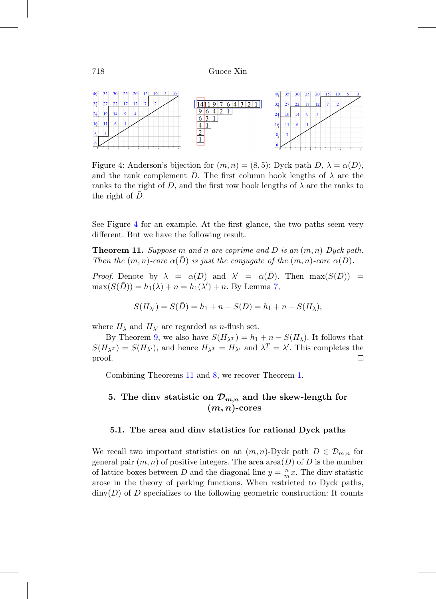

<span id="page-13-2"></span>Figure 4: Anderson's bijection for  $(m, n) = (8, 5)$ : Dyck path D,  $\lambda = \alpha(D)$ , and the rank complement D. The first column hook lengths of  $\lambda$  are the ranks to the right of D, and the first row hook lengths of  $\lambda$  are the ranks to the right of  $D$ .

See Figure [4](#page-13-2) for an example. At the first glance, the two paths seem very different. But we have the following result.

<span id="page-13-0"></span>**Theorem 11.** Suppose m and n are coprime and D is an  $(m, n)$ -Dyck path. Then the  $(m, n)$ -core  $\alpha(D)$  is just the conjugate of the  $(m, n)$ -core  $\alpha(D)$ .

Proof. Denote by  $\lambda = \alpha(D)$  and  $\lambda' = \alpha(D)$ . Then  $\max(S(D))$  =  $max(S(\bar{D})) = h_1(\lambda) + n = h_1(\lambda') + n$ . By Lemma [7,](#page-7-0)

$$
S(H_{\lambda'}) = S(\bar{D}) = h_1 + n - S(D) = h_1 + n - S(H_{\lambda}),
$$

where  $H_{\lambda}$  and  $H_{\lambda'}$  are regarded as *n*-flush set.

By Theorem [9,](#page-10-0) we also have  $S(H_{\lambda^T}) = h_1 + n - S(H_{\lambda})$ . It follows that  $S(H_{\lambda^T}) = S(H_{\lambda'})$ , and hence  $H_{\lambda^T} = H_{\lambda'}$  and  $\lambda^T = \lambda'$ . This completes the proof.  $\Box$ 

<span id="page-13-1"></span>Combining Theorems [11](#page-13-0) and [8,](#page-7-1) we recover Theorem [1.](#page-1-0)

# **5. The dinv statistic on** *Dm,n* **and the skew-length for**  $(m, n)$ -cores

### **5.1. The area and dinv statistics for rational Dyck paths**

We recall two important statistics on an  $(m, n)$ -Dyck path  $D \in \mathcal{D}_{m,n}$  for general pair  $(m, n)$  of positive integers. The area area $(D)$  of D is the number of lattice boxes between D and the diagonal line  $y = \frac{n}{m}x$ . The dinv statistic arose in the theory of parking functions. When restricted to Dyck paths,  $\dim(D)$  of D specializes to the following geometric construction: It counts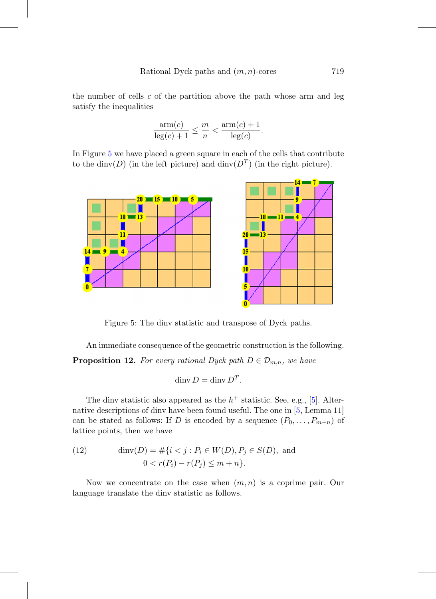the number of cells  $c$  of the partition above the path whose arm and leg satisfy the inequalities

$$
\frac{\operatorname{arm}(c)}{\operatorname{leg}(c) + 1} \le \frac{m}{n} < \frac{\operatorname{arm}(c) + 1}{\operatorname{leg}(c)}.
$$

In Figure [5](#page-14-0) we have placed a green square in each of the cells that contribute to the dinv(D) (in the left picture) and dinv( $D<sup>T</sup>$ ) (in the right picture).



<span id="page-14-0"></span>Figure 5: The dinv statistic and transpose of Dyck paths.

An immediate consequence of the geometric construction is the following.

**Proposition 12.** For every rational Dyck path  $D \in \mathcal{D}_{m,n}$ , we have

$$
\dim V = \dim V D^T.
$$

The dinv statistic also appeared as the  $h^+$  statistic. See, e.g., [\[5\]](#page-18-5). Alternative descriptions of dinv have been found useful. The one in [\[5,](#page-18-5) Lemma 11] can be stated as follows: If D is encoded by a sequence  $(P_0, \ldots, P_{m+n})$  of lattice points, then we have

(12) 
$$
\dim(D) = \#\{i < j : P_i \in W(D), P_j \in S(D), \text{ and } 0 < r(P_i) - r(P_j) \le m + n\}.
$$

Now we concentrate on the case when  $(m, n)$  is a coprime pair. Our language translate the dinv statistic as follows.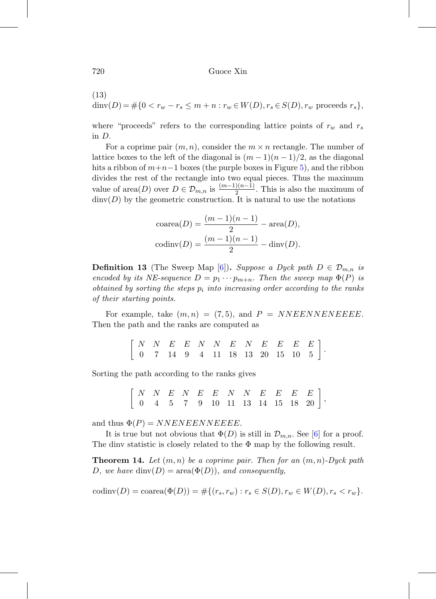(13)

dinv(D) =  $\#\{0 < r_w - r_s \le m + n : r_w \in W(D), r_s \in S(D), r_w \text{ proceeds } r_s\},\$ 

where "proceeds" refers to the corresponding lattice points of  $r_w$  and  $r_s$ in D.

For a coprime pair  $(m, n)$ , consider the  $m \times n$  rectangle. The number of lattice boxes to the left of the diagonal is  $(m-1)(n-1)/2$ , as the diagonal hits a ribbon of  $m+n-1$  boxes (the purple boxes in Figure [5\)](#page-14-0), and the ribbon divides the rest of the rectangle into two equal pieces. Thus the maximum value of area $(D)$  over  $D \in \mathcal{D}_{m,n}$  is  $\frac{(m-1)(n-1)}{2}$ . This is also the maximum of  $\dim(V)$  by the geometric construction. It is natural to use the notations

coarea
$$
(D)
$$
 =  $\frac{(m-1)(n-1)}{2}$  - area $(D)$ ,  
codinv $(D)$  =  $\frac{(m-1)(n-1)}{2}$  - div $(D)$ .

**Definition 13** (The Sweep Map [\[6\]](#page-18-7)). Suppose a Dyck path  $D \in \mathcal{D}_{m,n}$  is encoded by its NE-sequence  $D = p_1 \cdots p_{m+n}$ . Then the sweep map  $\Phi(P)$  is obtained by sorting the steps  $p_i$  into increasing order according to the ranks of their starting points.

For example, take  $(m, n) = (7, 5)$ , and  $P = NNEENNENEEEE$ . Then the path and the ranks are computed as

$$
\left[\begin{array}{ccccccccc} N & N & E & E & N & N & E & N & E & E & E \\ 0 & 7 & 14 & 9 & 4 & 11 & 18 & 13 & 20 & 15 & 10 & 5 \end{array}\right]
$$

.

Sorting the path according to the ranks gives

 $\left[ \begin{array}{ccccccc} N&N&E&N&E&E&N&N&E&E&E&E\ 0&4&5&7&9&10&11&13&14&15&18&20 \end{array} \right],$ 

and thus  $\Phi(P) = NNENEENNEEEE$ .

It is true but not obvious that  $\Phi(D)$  is still in  $\mathcal{D}_{m,n}$ . See [\[6\]](#page-18-7) for a proof. The dinv statistic is closely related to the  $\Phi$  map by the following result.

<span id="page-15-0"></span>**Theorem 14.** Let  $(m, n)$  be a coprime pair. Then for an  $(m, n)$ -Dyck path D, we have  $\dim(D) = \text{area}(\Phi(D))$ , and consequently,

codinv $(D) = \text{coarea}(\Phi(D)) = \# \{ (r_s, r_w) : r_s \in S(D), r_w \in W(D), r_s < r_w \}.$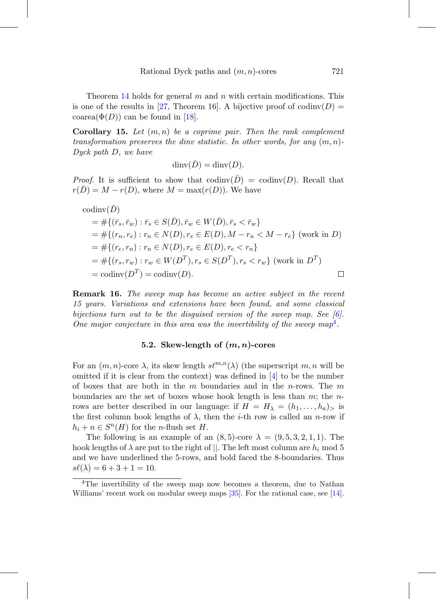Theorem [14](#page-15-0) holds for general m and n with certain modifications. This is one of the results in [\[27,](#page-20-10) Theorem 16]. A bijective proof of codinv( $D$ ) = coarea $(\Phi(D))$  can be found in [\[18\]](#page-19-7).

**Corollary 15.** Let  $(m, n)$  be a coprime pair. Then the rank complement transformation preserves the dinv statistic. In other words, for any  $(m, n)$ -Dyck path D, we have

$$
\dim(\overline{D}) = \dim(D).
$$

*Proof.* It is sufficient to show that  $\text{codinv}(\bar{D}) = \text{codinv}(D)$ . Recall that  $r(D) = M - r(D)$ , where  $M = \max(r(D))$ . We have

codinv(
$$
\bar{D}
$$
)  
\n
$$
= #\{(\bar{r}_s, \bar{r}_w) : \bar{r}_s \in S(\bar{D}), \bar{r}_w \in W(\bar{D}), \bar{r}_s < \bar{r}_w\}
$$
\n
$$
= #\{(r_n, r_e) : r_n \in N(D), r_e \in E(D), M - r_n < M - r_e\} \text{ (work in } D\text{)}
$$
\n
$$
= #\{(r_e, r_n) : r_n \in N(D), r_e \in E(D), r_e < r_n\}
$$
\n
$$
= #\{(r_s, r_w) : r_w \in W(D^T), r_s \in S(D^T), r_s < r_w\} \text{ (work in } D^T\text{)}
$$
\n
$$
= \text{codinv}(D^T) = \text{codinv}(D\text{)}.
$$

**Remark 16.** The sweep map has become an active subject in the recent 15 years. Variations and extensions have been found, and some classical bijections turn out to be the disquised version of the sweep map. See  $[6]$ . One major conjecture in this area was the invertibility of the sweep  $map^4$  $map^4$ .

# **5.2. Skew-length of (***m, n***)-cores**

For an  $(m, n)$ -core  $\lambda$ , its skew length  $s\ell^{m,n}(\lambda)$  (the superscript m, n will be omitted if it is clear from the context) was defined in  $[4]$  to be the number of boxes that are both in the  $m$  boundaries and in the *n*-rows. The  $m$ boundaries are the set of boxes whose hook length is less than  $m$ ; the  $n$ rows are better described in our language: if  $H = H_{\lambda} = (h_1, \ldots, h_a)$  is the first column hook lengths of  $\lambda$ , then the *i*-th row is called an *n*-row if  $h_i + n \in S^n(H)$  for the *n*-flush set H.

The following is an example of an  $(8, 5)$ -core  $\lambda = (9, 5, 3, 2, 1, 1)$ . The hook lengths of  $\lambda$  are put to the right of ||. The left most column are  $h_i$  mod 5 and we have underlined the 5-rows, and bold faced the 8-boundaries. Thus  $s\ell(\lambda) = 6 + 3 + 1 = 10.$ 

<span id="page-16-0"></span><sup>4</sup>The invertibility of the sweep map now becomes a theorem, due to Nathan Williams' recent work on modular sweep maps [\[35\]](#page-21-1). For the rational case, see [\[14\]](#page-19-8).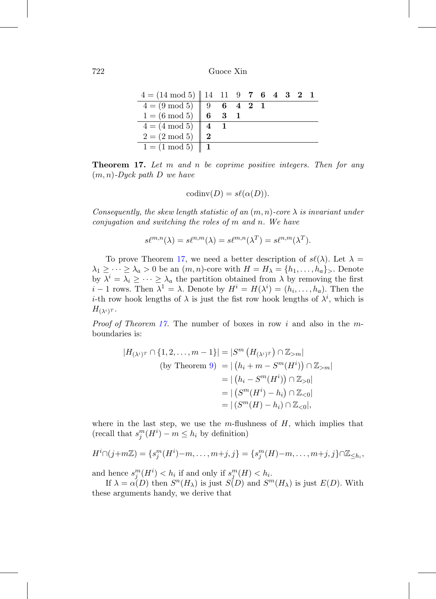| $4 = (14 \mod 5)    14$ 11 9 7 6 4 3 2 1           |    |         |  |  |  |
|----------------------------------------------------|----|---------|--|--|--|
|                                                    | -9 | 6 4 2 1 |  |  |  |
| $4 = (9 \mod 5)$<br>$1 = (6 \mod 5)$               |    |         |  |  |  |
|                                                    |    |         |  |  |  |
| $4 = (4 \mod 5) \mid 4$<br>$2 = (2 \mod 5) \mid 2$ |    |         |  |  |  |
| $1 = (1 \mod 5)    1$                              |    |         |  |  |  |

<span id="page-17-0"></span>**Theorem 17.** Let m and n be coprime positive integers. Then for any  $(m, n)$ -Dyck path D we have

$$
codinv(D) = s\ell(\alpha(D)).
$$

Consequently, the skew length statistic of an  $(m, n)$ -core  $\lambda$  is invariant under conjugation and switching the roles of m and n. We have

$$
s\ell^{m,n}(\lambda) = s\ell^{n,m}(\lambda) = s\ell^{m,n}(\lambda^T) = s\ell^{n,m}(\lambda^T).
$$

To prove Theorem [17,](#page-17-0) we need a better description of  $s\ell(\lambda)$ . Let  $\lambda =$  $\lambda_1 \geq \cdots \geq \lambda_a > 0$  be an  $(m, n)$ -core with  $H = H_\lambda = \{h_1, \ldots, h_a\}$ . Denote by  $\lambda^i = \lambda_i \geq \cdots \geq \lambda_a$  the partition obtained from  $\lambda$  by removing the first  $i-1$  rows. Then  $\lambda^1 = \lambda$ . Denote by  $H^i = H(\lambda^i) = (h_i, \ldots, h_a)$ . Then the *i*-th row hook lengths of  $\lambda$  is just the fist row hook lengths of  $\lambda^i$ , which is  $H_{(\lambda^i)^T}.$ 

*Proof of Theorem [17.](#page-17-0)* The number of boxes in row i and also in the mboundaries is:

$$
|H_{(\lambda^{i})^{T}} \cap \{1, 2, ..., m - 1\}| = |S^{m} (H_{(\lambda^{i})^{T}}) \cap \mathbb{Z}_{>m}|
$$
  
(by Theorem 9) = | (h<sub>i</sub> + m - S<sup>m</sup>(H<sup>i</sup>))  $\cap \mathbb{Z}_{>m}|$   
= | (h<sub>i</sub> - S<sup>m</sup>(H<sup>i</sup>))  $\cap \mathbb{Z}_{>0}|$   
= | (S<sup>m</sup>(H<sup>i</sup>) - h<sub>i</sub>)  $\cap \mathbb{Z}_{<0}|$   
= | (S<sup>m</sup>(H) - h<sub>i</sub>)  $\cap \mathbb{Z}_{<0}|$ ,

where in the last step, we use the  $m$ -flushness of  $H$ , which implies that  $(\text{recall that } s_j^m(H^i) - m \leq h_i \text{ by definition})$ 

$$
H^{i}\cap (j+m\mathbb{Z}) = \{s_j^{m}(H^{i})-m,\ldots,m+j,j\} = \{s_j^{m}(H)-m,\ldots,m+j,j\}\cap \mathbb{Z}_{\leq h_i},
$$

and hence  $s_j^m(H^i) < h_i$  if and only if  $s_j^m(H) < h_i$ .

If  $\lambda = \alpha(D)$  then  $S^n(H_\lambda)$  is just  $S(D)$  and  $S^m(H_\lambda)$  is just  $E(D)$ . With these arguments handy, we derive that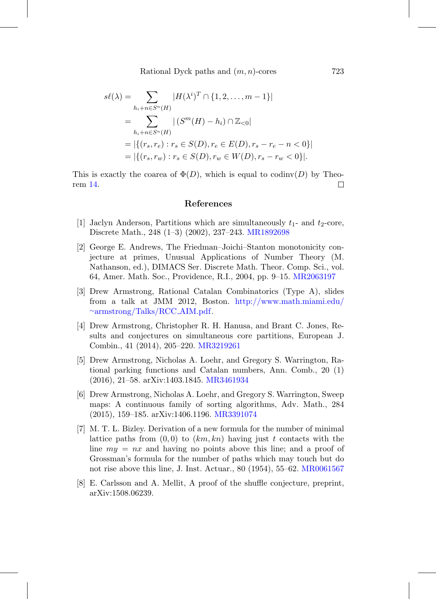Rational Dyck paths and  $(m, n)$ -cores 723

$$
s\ell(\lambda) = \sum_{h_i + n \in S^n(H)} |H(\lambda^i)^T \cap \{1, 2, ..., m - 1\}|
$$
  
= 
$$
\sum_{h_i + n \in S^n(H)} |(S^m(H) - h_i) \cap \mathbb{Z}_{<0}|
$$
  
= 
$$
|\{(r_s, r_e) : r_s \in S(D), r_e \in E(D), r_s - r_e - n < 0\}|
$$
  
= 
$$
|\{(r_s, r_w) : r_s \in S(D), r_w \in W(D), r_s - r_w < 0\}|.
$$

This is exactly the coarea of  $\Phi(D)$ , which is equal to codinv(D) by Theorem [14.](#page-15-0)  $\Box$ 

### **References**

- <span id="page-18-1"></span>[1] Jaclyn Anderson, Partitions which are simultaneously  $t_1$ - and  $t_2$ -core, Discrete Math., 248 (1–3) (2002), 237–243. [MR1892698](http://www.ams.org/mathscinet-getitem?mr=1892698)
- <span id="page-18-4"></span>[2] George E. Andrews, The Friedman–Joichi–Stanton monotonicity conjecture at primes, Unusual Applications of Number Theory (M. Nathanson, ed.), DIMACS Ser. Discrete Math. Theor. Comp. Sci., vol. 64, Amer. Math. Soc., Providence, R.I., 2004, pp. 9–15. [MR2063197](http://www.ams.org/mathscinet-getitem?mr=2063197)
- <span id="page-18-3"></span>[3] Drew Armstrong, Rational Catalan Combinatorics (Type A), slides from a talk at JMM 2012, Boston. [http://www.math.miami.edu/](http://www.math.miami.edu/~armstrong/Talks/RCC_AIM.pdf) ∼[armstrong/Talks/RCC](http://www.math.miami.edu/~armstrong/Talks/RCC_AIM.pdf) AIM.pdf.
- <span id="page-18-2"></span>[4] Drew Armstrong, Christopher R. H. Hanusa, and Brant C. Jones, Results and conjectures on simultaneous core partitions, European J. Combin., 41 (2014), 205–220. [MR3219261](http://www.ams.org/mathscinet-getitem?mr=3219261)
- <span id="page-18-5"></span>[5] Drew Armstrong, Nicholas A. Loehr, and Gregory S. Warrington, Rational parking functions and Catalan numbers, Ann. Comb., 20 (1) (2016), 21–58. arXiv:1403.1845. [MR3461934](http://www.ams.org/mathscinet-getitem?mr=3461934)
- <span id="page-18-7"></span>[6] Drew Armstrong, Nicholas A. Loehr, and Gregory S. Warrington, Sweep maps: A continuous family of sorting algorithms, Adv. Math., 284 (2015), 159–185. arXiv:1406.1196. [MR3391074](http://www.ams.org/mathscinet-getitem?mr=3391074)
- <span id="page-18-0"></span>[7] M. T. L. Bizley. Derivation of a new formula for the number of minimal lattice paths from  $(0,0)$  to  $(km, kn)$  having just t contacts with the line  $my = nx$  and having no points above this line; and a proof of Grossman's formula for the number of paths which may touch but do not rise above this line, J. Inst. Actuar., 80 (1954), 55–62. [MR0061567](http://www.ams.org/mathscinet-getitem?mr=0061567)
- <span id="page-18-6"></span>[8] E. Carlsson and A. Mellit, A proof of the shuffle conjecture, preprint, arXiv:1508.06239.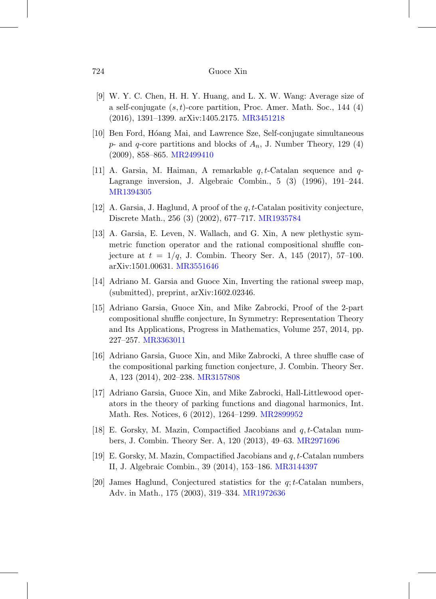- <span id="page-19-0"></span>[9] W. Y. C. Chen, H. H. Y. Huang, and L. X. W. Wang: Average size of a self-conjugate  $(s, t)$ -core partition, Proc. Amer. Math. Soc., 144  $(4)$ (2016), 1391–1399. arXiv:1405.2175. [MR3451218](http://www.ams.org/mathscinet-getitem?mr=3451218)
- <span id="page-19-2"></span>[10] Ben Ford, H´oang Mai, and Lawrence Sze, Self-conjugate simultaneous  $p$ - and  $q$ -core partitions and blocks of  $A_n$ , J. Number Theory, 129 (4) (2009), 858–865. [MR2499410](http://www.ams.org/mathscinet-getitem?mr=2499410)
- [11] A. Garsia, M. Haiman, A remarkable  $q, t$ -Catalan sequence and  $q$ -Lagrange inversion, J. Algebraic Combin., 5 (3) (1996), 191–244. [MR1394305](http://www.ams.org/mathscinet-getitem?mr=1394305)
- [12] A. Garsia, J. Haglund, A proof of the q, t-Catalan positivity conjecture, Discrete Math., 256 (3) (2002), 677–717. [MR1935784](http://www.ams.org/mathscinet-getitem?mr=1935784)
- <span id="page-19-3"></span>[13] A. Garsia, E. Leven, N. Wallach, and G. Xin, A new plethystic symmetric function operator and the rational compositional shuffle conjecture at  $t = 1/q$ , J. Combin. Theory Ser. A, 145 (2017), 57-100. arXiv:1501.00631. [MR3551646](http://www.ams.org/mathscinet-getitem?mr=3551646)
- <span id="page-19-8"></span>[14] Adriano M. Garsia and Guoce Xin, Inverting the rational sweep map, (submitted), preprint, arXiv:1602.02346.
- <span id="page-19-5"></span>[15] Adriano Garsia, Guoce Xin, and Mike Zabrocki, Proof of the 2-part compositional shuffle conjecture, In Symmetry: Representation Theory and Its Applications, Progress in Mathematics, Volume 257, 2014, pp. 227–257. [MR3363011](http://www.ams.org/mathscinet-getitem?mr=3363011)
- <span id="page-19-6"></span>[16] Adriano Garsia, Guoce Xin, and Mike Zabrocki, A three shuffle case of the compositional parking function conjecture, J. Combin. Theory Ser. A, 123 (2014), 202–238. [MR3157808](http://www.ams.org/mathscinet-getitem?mr=3157808)
- <span id="page-19-4"></span>[17] Adriano Garsia, Guoce Xin, and Mike Zabrocki, Hall-Littlewood operators in the theory of parking functions and diagonal harmonics, Int. Math. Res. Notices, 6 (2012), 1264–1299. [MR2899952](http://www.ams.org/mathscinet-getitem?mr=2899952)
- <span id="page-19-7"></span>[18] E. Gorsky, M. Mazin, Compactified Jacobians and  $q, t$ -Catalan numbers, J. Combin. Theory Ser. A, 120 (2013), 49–63. [MR2971696](http://www.ams.org/mathscinet-getitem?mr=2971696)
- <span id="page-19-1"></span>[19] E. Gorsky, M. Mazin, Compactified Jacobians and  $q, t$ -Catalan numbers II, J. Algebraic Combin., 39 (2014), 153–186. [MR3144397](http://www.ams.org/mathscinet-getitem?mr=3144397)
- [20] James Haglund, Conjectured statistics for the  $q; t$ -Catalan numbers, Adv. in Math., 175 (2003), 319–334. [MR1972636](http://www.ams.org/mathscinet-getitem?mr=1972636)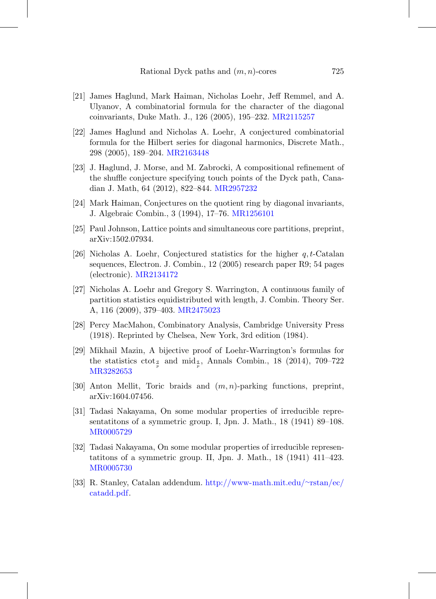- <span id="page-20-5"></span>[21] James Haglund, Mark Haiman, Nicholas Loehr, Jeff Remmel, and A. Ulyanov, A combinatorial formula for the character of the diagonal coinvariants, Duke Math. J., 126 (2005), 195–232. [MR2115257](http://www.ams.org/mathscinet-getitem?mr=2115257)
- [22] James Haglund and Nicholas A. Loehr, A conjectured combinatorial formula for the Hilbert series for diagonal harmonics, Discrete Math., 298 (2005), 189–204. [MR2163448](http://www.ams.org/mathscinet-getitem?mr=2163448)
- <span id="page-20-6"></span>[23] J. Haglund, J. Morse, and M. Zabrocki, A compositional refinement of the shuffle conjecture specifying touch points of the Dyck path, Canadian J. Math, 64 (2012), 822–844. [MR2957232](http://www.ams.org/mathscinet-getitem?mr=2957232)
- <span id="page-20-2"></span>[24] Mark Haiman, Conjectures on the quotient ring by diagonal invariants, J. Algebraic Combin., 3 (1994), 17–76. [MR1256101](http://www.ams.org/mathscinet-getitem?mr=1256101)
- <span id="page-20-1"></span>[25] Paul Johnson, Lattice points and simultaneous core partitions, preprint, arXiv:1502.07934.
- <span id="page-20-4"></span>[26] Nicholas A. Loehr, Conjectured statistics for the higher  $q, t$ -Catalan sequences, Electron. J. Combin., 12 (2005) research paper R9; 54 pages (electronic). [MR2134172](http://www.ams.org/mathscinet-getitem?mr=2134172)
- <span id="page-20-10"></span>[27] Nicholas A. Loehr and Gregory S. Warrington, A continuous family of partition statistics equidistributed with length, J. Combin. Theory Ser. A, 116 (2009), 379–403. [MR2475023](http://www.ams.org/mathscinet-getitem?mr=2475023)
- <span id="page-20-3"></span>[28] Percy MacMahon, Combinatory Analysis, Cambridge University Press (1918). Reprinted by Chelsea, New York, 3rd edition (1984).
- [29] Mikhail Mazin, A bijective proof of Loehr-Warrington's formulas for the statistics  $\cot_{\frac{q}{p}}$  and  $\text{mid}_{\frac{q}{p}}$ , Annals Combin., 18 (2014), 709–722 [MR3282653](http://www.ams.org/mathscinet-getitem?mr=3282653)
- <span id="page-20-7"></span>[30] Anton Mellit, Toric braids and  $(m, n)$ -parking functions, preprint, arXiv:1604.07456.
- <span id="page-20-8"></span>[31] Tadasi Nakayama, On some modular properties of irreducible representatitons of a symmetric group. I, Jpn. J. Math., 18 (1941) 89–108. [MR0005729](http://www.ams.org/mathscinet-getitem?mr=0005729)
- <span id="page-20-9"></span>[32] Tadasi Nakayama, On some modular properties of irreducible representatitons of a symmetric group. II, Jpn. J. Math., 18 (1941) 411–423. [MR0005730](http://www.ams.org/mathscinet-getitem?mr=0005730)
- <span id="page-20-0"></span>[33] R. Stanley, Catalan addendum. [http://www-math.mit.edu/](http://www-math.mit.edu/~rstan/ec/catadd.pdf)∼rstan/ec/ [catadd.pdf.](http://www-math.mit.edu/~rstan/ec/catadd.pdf)